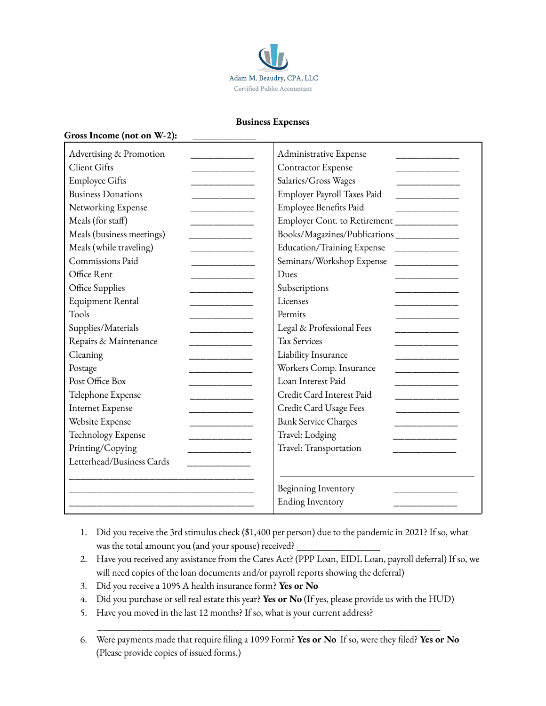

## **Business Expenses**

## **Gross Income (not on W-2): \_\_\_\_\_\_\_\_\_\_\_**

| Advertising & Promotion             | Administrative Expense                      |  |
|-------------------------------------|---------------------------------------------|--|
| <b>Client Gifts</b>                 | Contractor Expense                          |  |
| <b>Employee Gifts</b><br>______     | Salaries/Gross Wages                        |  |
| <b>Business Donations</b>           | Employer Payroll Taxes Paid                 |  |
| Networking Expense<br>_______       | Employee Benefits Paid                      |  |
| Meals (for staff)<br>_______        | Employer Cont. to Retirement ____________   |  |
| Meals (business meetings)           | Books/Magazines/Publications_____________   |  |
| Meals (while traveling)<br>________ | Education/Training Expense<br>_____________ |  |
| Commissions Paid<br>_______         | Seminars/Workshop Expense<br>_____________  |  |
| Office Rent                         | Dues                                        |  |
| Office Supplies<br>_______          | Subscriptions                               |  |
| Equipment Rental                    | Licenses                                    |  |
| Tools                               | Permits                                     |  |
| Supplies/Materials<br>_______       | Legal & Professional Fees                   |  |
| Repairs & Maintenance<br>_______    | <b>Tax Services</b>                         |  |
| Cleaning                            | Liability Insurance                         |  |
| Postage                             | Workers Comp. Insurance                     |  |
| Post Office Box                     | Loan Interest Paid                          |  |
| Telephone Expense<br>_______        | Credit Card Interest Paid                   |  |
| <b>Internet Expense</b>             | Credit Card Usage Fees                      |  |
| Website Expense                     | <b>Bank Service Charges</b>                 |  |
| Technology Expense<br>________      | Travel: Lodging                             |  |
| Printing/Copying                    | Travel: Transportation                      |  |
| Letterhead/Business Cards           |                                             |  |
|                                     |                                             |  |
|                                     | Beginning Inventory                         |  |
|                                     | <b>Ending Inventory</b>                     |  |
|                                     |                                             |  |

- 1. Did you receive the 3rd stimulus check (\$1,400 per person) due to the pandemic in 2021? If so, what was the total amount you (and your spouse) received?
- 2. Have you received any assistance from the Cares Act? (PPP Loan, EIDL Loan, payroll deferral) If so, we will need copies of the loan documents and/or payroll reports showing the deferral)
- 3. Did you receive a 1095 A health insurance form? **Yes or No**
- 4. Did you purchase or sell real estate this year? **Yes or No** (If yes, please provide us with the HUD)
- 5. Have you moved in the last 12 months? If so, what is your current address?
- 6. Were payments made that require filing a 1099 Form? **Yes or No** If so, were they filed? **Yes or No** (Please provide copies of issued forms.)

\_\_\_\_\_\_\_\_\_\_\_\_\_\_\_\_\_\_\_\_\_\_\_\_\_\_\_\_\_\_\_\_\_\_\_\_\_\_\_\_\_\_\_\_\_\_\_\_\_\_\_\_\_\_\_\_\_\_\_\_\_\_\_\_\_\_\_\_\_\_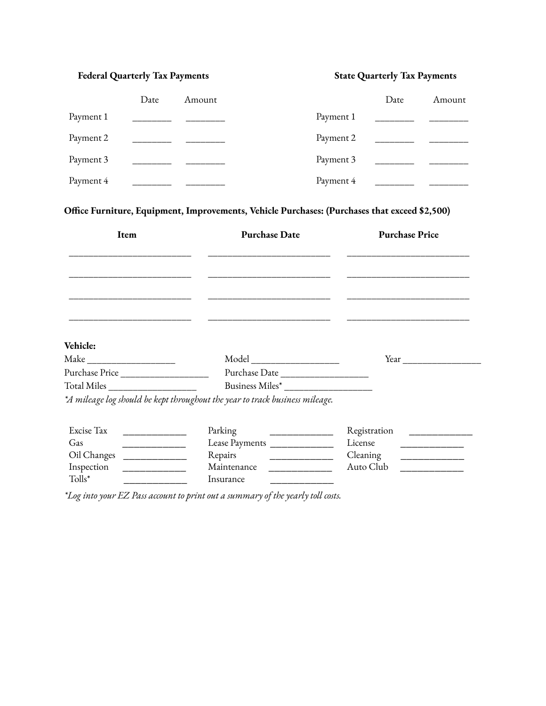## **Federal Quarterly Tax Payments State Quarterly Tax Payments**

|           | Date | Amount |           | Date | Amount |
|-----------|------|--------|-----------|------|--------|
| Payment 1 |      |        | Payment 1 |      |        |
| Payment 2 |      |        | Payment 2 |      |        |
| Payment 3 |      |        | Payment 3 |      |        |
| Payment 4 |      |        | Payment 4 |      |        |

**Office Furniture, Equipment, Improvements, Vehicle Purchases: (Purchases that exceed \$2,500)**

| Item                                            | <b>Purchase Date</b>                                                         | <b>Purchase Price</b>                                     |
|-------------------------------------------------|------------------------------------------------------------------------------|-----------------------------------------------------------|
|                                                 |                                                                              |                                                           |
|                                                 |                                                                              |                                                           |
|                                                 |                                                                              |                                                           |
|                                                 |                                                                              |                                                           |
|                                                 |                                                                              |                                                           |
| Vehicle:                                        |                                                                              |                                                           |
|                                                 |                                                                              | Year                                                      |
|                                                 |                                                                              |                                                           |
| Total Miles                                     | Business Miles*                                                              |                                                           |
|                                                 | *A mileage log should be kept throughout the year to track business mileage. |                                                           |
| Excise Tax<br><u> 1980 - Jan Jawa Barat, pa</u> | Parking                                                                      | Registration                                              |
| Gas<br>______________                           | Lease Payments ______________                                                | License<br><u> 22 March 2014 - An Dùbhlachd ann an 19</u> |
| Oil Changes                                     | Repairs<br>_____________                                                     | Cleaning<br>_________________                             |
| Inspection                                      | Maintenance<br><u> 1986 - Jan Barat, primeira polit</u> ik                   | Auto Club                                                 |
| Tolls*                                          | Insurance                                                                    |                                                           |

*\*Log into your EZ Pass account to print out a summary of the yearly toll costs.*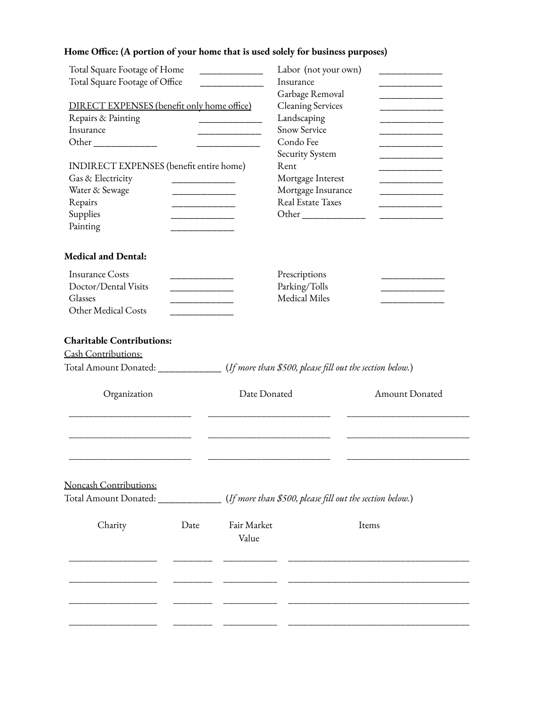## **Home Office: (A portion of your home that is used solely for business purposes)**

| Total Square Footage of Home               |                              | Labor (not your own)                                     |                                                                                                                        |  |
|--------------------------------------------|------------------------------|----------------------------------------------------------|------------------------------------------------------------------------------------------------------------------------|--|
| Total Square Footage of Office             |                              | Insurance                                                |                                                                                                                        |  |
|                                            |                              | Garbage Removal                                          | _____________________                                                                                                  |  |
| DIRECT EXPENSES (benefit only home office) |                              | <b>Cleaning Services</b>                                 |                                                                                                                        |  |
| Repairs & Painting                         |                              | Landscaping                                              |                                                                                                                        |  |
| Insurance                                  | <u> Liste de la contrata</u> | <b>Snow Service</b>                                      |                                                                                                                        |  |
|                                            |                              | Condo Fee                                                |                                                                                                                        |  |
|                                            |                              | Security System                                          |                                                                                                                        |  |
| INDIRECT EXPENSES (benefit entire home)    |                              | Rent                                                     | <u> La Carlo Carlo Carlo Carlo Carlo Carlo Carlo Carlo Carlo Carlo Carlo Carlo Carlo Carlo Carlo Carlo Carlo Carlo</u> |  |
| Gas & Electricity                          |                              | Mortgage Interest                                        |                                                                                                                        |  |
| Water & Sewage<br>_____________________    |                              | Mortgage Insurance                                       | _________                                                                                                              |  |
| Repairs<br>__________                      |                              | <b>Real Estate Taxes</b>                                 |                                                                                                                        |  |
| Supplies                                   |                              | Other ______________                                     |                                                                                                                        |  |
| Painting                                   |                              |                                                          |                                                                                                                        |  |
| <b>Medical and Dental:</b>                 |                              |                                                          |                                                                                                                        |  |
| <b>Insurance Costs</b><br>________         |                              | Prescriptions                                            |                                                                                                                        |  |
| Doctor/Dental Visits                       |                              | Parking/Tolls                                            |                                                                                                                        |  |
| ____________________<br>Glasses            |                              | Medical Miles                                            |                                                                                                                        |  |
| Other Medical Costs                        |                              |                                                          |                                                                                                                        |  |
|                                            |                              |                                                          |                                                                                                                        |  |
| <b>Charitable Contributions:</b>           |                              |                                                          |                                                                                                                        |  |
| Cash Contributions:                        |                              |                                                          |                                                                                                                        |  |
| Total Amount Donated: _____________        |                              | (If more than \$500, please fill out the section below.) |                                                                                                                        |  |
| Organization                               | Date Donated                 |                                                          | Amount Donated                                                                                                         |  |
|                                            |                              |                                                          |                                                                                                                        |  |
|                                            |                              |                                                          |                                                                                                                        |  |
|                                            |                              |                                                          |                                                                                                                        |  |
| Noncash Contributions:                     |                              |                                                          |                                                                                                                        |  |
| Total Amount Donated:                      |                              | (If more than \$500, please fill out the section below.) |                                                                                                                        |  |
|                                            |                              |                                                          |                                                                                                                        |  |
| Charity<br>Date                            | Fair Market                  |                                                          | Items                                                                                                                  |  |
|                                            | Value                        |                                                          |                                                                                                                        |  |
|                                            |                              |                                                          |                                                                                                                        |  |
|                                            |                              |                                                          |                                                                                                                        |  |
|                                            |                              |                                                          |                                                                                                                        |  |
|                                            |                              |                                                          |                                                                                                                        |  |